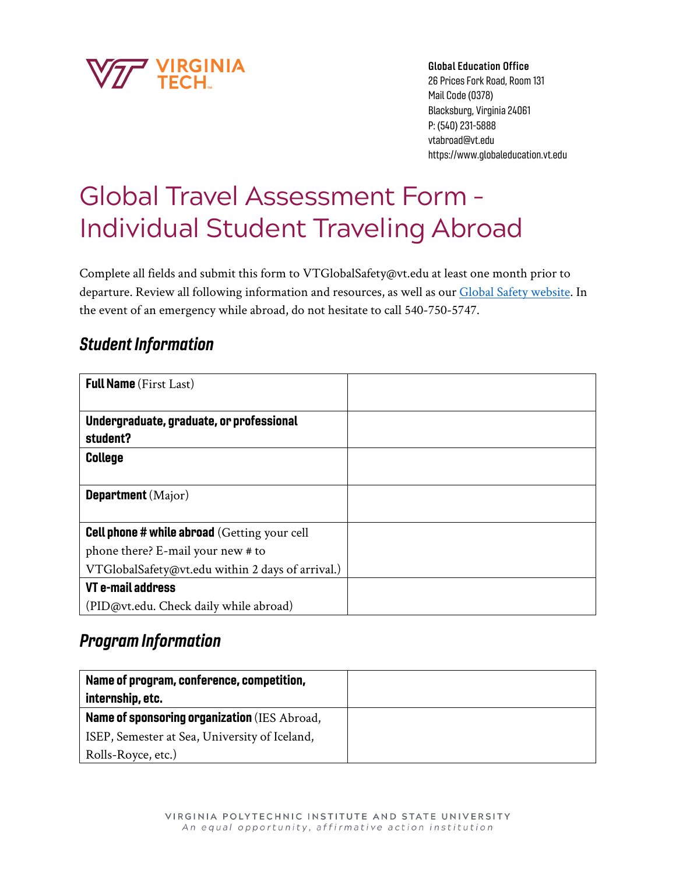

Global Education Office

26 Prices Fork Road, Room 131 Mail Code (0378) Blacksburg, Virginia 24061 P: (540) 231-5888 vtabroad@vt.edu https://www.globaleducation.vt.edu

# Global Travel Assessment Form – Individual Student Traveling Abroad

Complete all fields and submit this form to VTGlobalSafety@vt.edu at least one month prior to departure. Review all following information and resources, as well as our [Global Safety website.](https://www.globaleducation.vt.edu/GlobalSafety.html) In the event of an emergency while abroad, do not hesitate to call 540-750-5747.

# Student Information

| <b>Full Name</b> (First Last)                        |  |
|------------------------------------------------------|--|
| Undergraduate, graduate, or professional<br>student? |  |
| <b>College</b>                                       |  |
| <b>Department</b> (Major)                            |  |
| <b>Cell phone # while abroad</b> (Getting your cell  |  |
| phone there? E-mail your new # to                    |  |
| VTGlobalSafety@vt.edu within 2 days of arrival.)     |  |
| VT e-mail address                                    |  |
| (PID@vt.edu. Check daily while abroad)               |  |

# Program Information

| Name of program, conference, competition,     |  |
|-----------------------------------------------|--|
| internship, etc.                              |  |
| Name of sponsoring organization (IES Abroad,  |  |
| ISEP, Semester at Sea, University of Iceland, |  |
| Rolls-Royce, etc.)                            |  |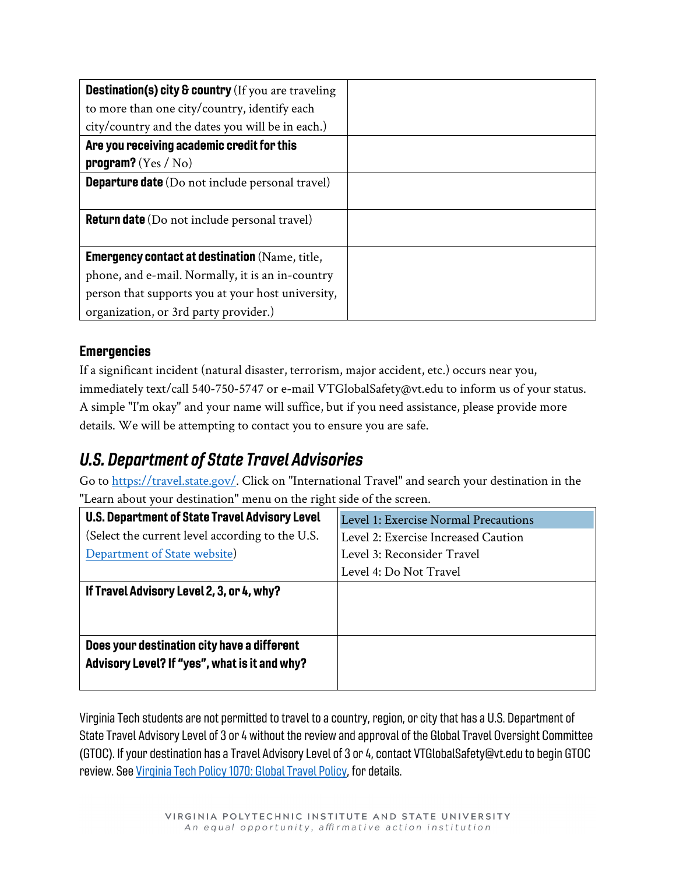| <b>Destination(s) city &amp; country</b> (If you are traveling |  |
|----------------------------------------------------------------|--|
| to more than one city/country, identify each                   |  |
| city/country and the dates you will be in each.)               |  |
| Are you receiving academic credit for this                     |  |
| program? $(Yes / No)$                                          |  |
| <b>Departure date</b> (Do not include personal travel)         |  |
|                                                                |  |
| <b>Return date</b> (Do not include personal travel)            |  |
|                                                                |  |
| <b>Emergency contact at destination</b> (Name, title,          |  |
| phone, and e-mail. Normally, it is an in-country               |  |
| person that supports you at your host university,              |  |
| organization, or 3rd party provider.)                          |  |

### **Emergencies**

If a significant incident (natural disaster, terrorism, major accident, etc.) occurs near you, immediately text/call 540-750-5747 or e-mail VTGlobalSafety@vt.edu to inform us of your status. A simple "I'm okay" and your name will suffice, but if you need assistance, please provide more details. We will be attempting to contact you to ensure you are safe.

# U.S. Department of State Travel Advisories

Go to [https://travel.state.gov/.](https://travel.state.gov/content/travel/en/traveladvisories/traveladvisories.html.html) Click on "International Travel" and search your destination in the "Learn about your destination" menu on the right side of the screen.

| U.S. Department of State Travel Advisory Level                                               | Level 1: Exercise Normal Precautions |
|----------------------------------------------------------------------------------------------|--------------------------------------|
| (Select the current level according to the U.S.                                              | Level 2: Exercise Increased Caution  |
| Department of State website)                                                                 | Level 3: Reconsider Travel           |
|                                                                                              | Level 4: Do Not Travel               |
| If Travel Advisory Level 2, 3, or 4, why?                                                    |                                      |
| Does your destination city have a different<br>Advisory Level? If "yes", what is it and why? |                                      |

Virginia Tech students are not permitted to travel to a country, region, or city that has a U.S. Department of State Travel Advisory Level of 3 or 4 without the review and approval of the Global Travel Oversight Committee (GTOC). If your destination has a Travel Advisory Level of 3 or 4, contact VTGlobalSafety@vt.edu to begin GTOC review. Se[e Virginia Tech Policy 1070: Global Travel Policy,](https://policies.vt.edu/1070.pdf) for details.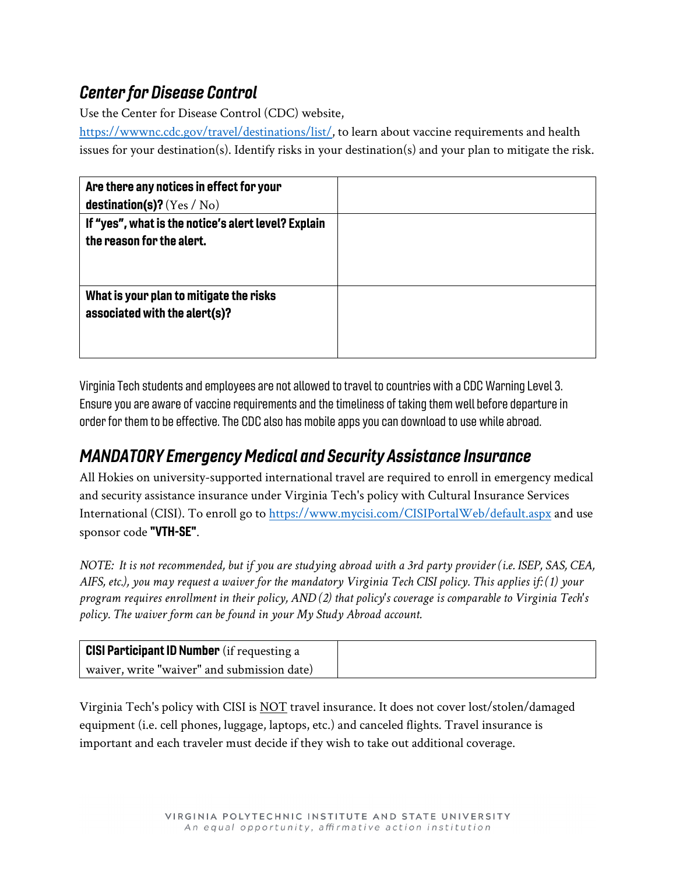# Center for Disease Control

Use the Center for Disease Control (CDC) website,

[https://wwwnc.cdc.gov/travel/destinations/list/,](https://wwwnc.cdc.gov/travel/destinations/list/) to learn about vaccine requirements and health issues for your destination(s). Identify risks in your destination(s) and your plan to mitigate the risk.

| Are there any notices in effect for your            |  |
|-----------------------------------------------------|--|
| destination(s)? $(Yes / No)$                        |  |
| If "yes", what is the notice's alert level? Explain |  |
| the reason for the alert.                           |  |
|                                                     |  |
|                                                     |  |
| What is your plan to mitigate the risks             |  |
| associated with the alert(s)?                       |  |
|                                                     |  |
|                                                     |  |

Virginia Tech students and employees are not allowed to travel to countries with a CDC Warning Level 3. Ensure you are aware of vaccine requirements and the timeliness of taking them well before departure in order for them to be effective. The CDC also has mobile apps you can download to use while abroad.

# MANDATORY Emergency Medical and Security Assistance Insurance

All Hokies on university-supported international travel are required to enroll in emergency medical and security assistance insurance under Virginia Tech's policy with Cultural Insurance Services International (CISI). To enroll go t[o https://www.mycisi.com/CISIPortalWeb/default.aspx](https://www.mycisi.com/CISIPortalWeb/default.aspx) and use sponsor code "VTH-SE".

*NOTE: It is not recommended, but if you are studying abroad with a 3rd party provider (i.e. ISEP, SAS, CEA, AIFS, etc.), you may request a waiver for the mandatory Virginia Tech CISI policy. This applies if: (1) your program requires enrollment in their policy, AND (2) that policy's coverage is comparable to Virginia Tech's policy. The waiver form can be found in your My Study Abroad account.*

| <b>CISI Participant ID Number</b> (if requesting a |  |
|----------------------------------------------------|--|
| waiver, write "waiver" and submission date)        |  |

Virginia Tech's policy with CISI is NOT travel insurance. It does not cover lost/stolen/damaged equipment (i.e. cell phones, luggage, laptops, etc.) and canceled flights. Travel insurance is important and each traveler must decide if they wish to take out additional coverage.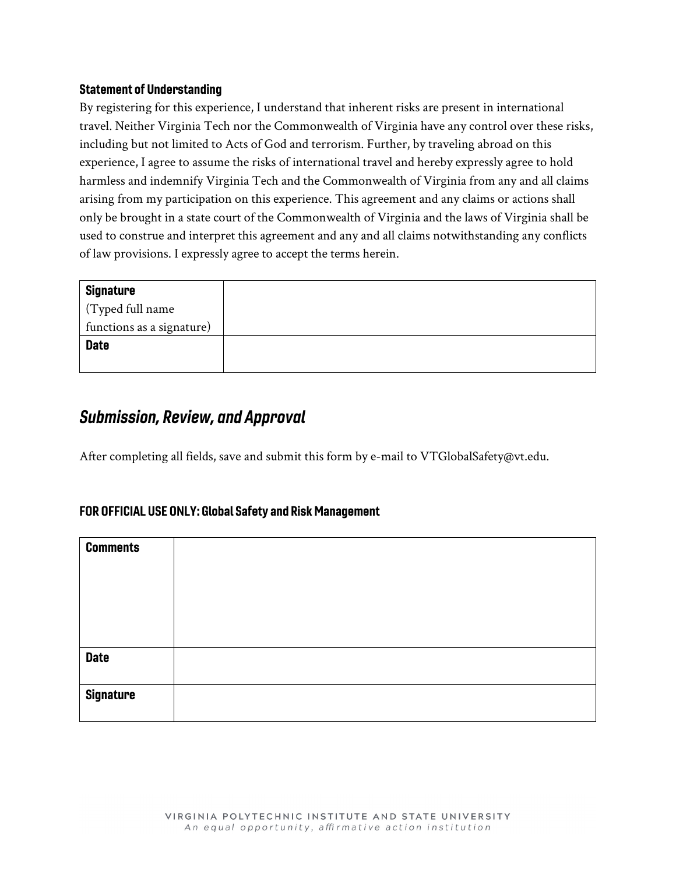#### Statement of Understanding

By registering for this experience, I understand that inherent risks are present in international travel. Neither Virginia Tech nor the Commonwealth of Virginia have any control over these risks, including but not limited to Acts of God and terrorism. Further, by traveling abroad on this experience, I agree to assume the risks of international travel and hereby expressly agree to hold harmless and indemnify Virginia Tech and the Commonwealth of Virginia from any and all claims arising from my participation on this experience. This agreement and any claims or actions shall only be brought in a state court of the Commonwealth of Virginia and the laws of Virginia shall be used to construe and interpret this agreement and any and all claims notwithstanding any conflicts of law provisions. I expressly agree to accept the terms herein.

| <b>Signature</b>          |
|---------------------------|
| (Typed full name          |
| functions as a signature) |
| <b>Date</b>               |
|                           |

## Submission, Review, and Approval

After completing all fields, save and submit this form by e-mail to VTGlobalSafety@vt.edu.

#### FOR OFFICIAL USE ONLY: Global Safety and Risk Management

| <b>Comments</b>  |  |
|------------------|--|
|                  |  |
|                  |  |
|                  |  |
|                  |  |
| <b>Date</b>      |  |
|                  |  |
| <b>Signature</b> |  |
|                  |  |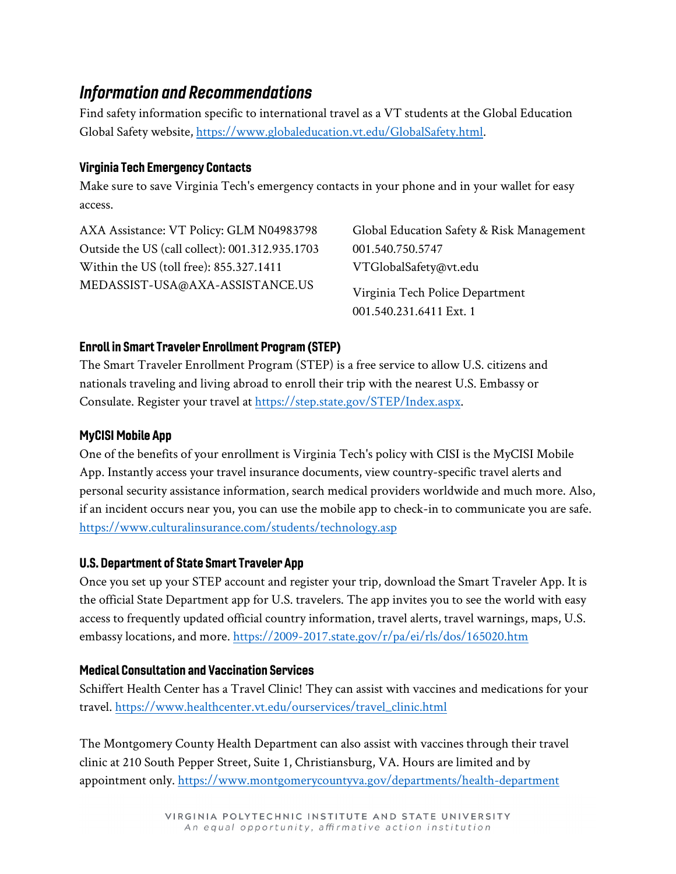# Information and Recommendations

Find safety information specific to international travel as a VT students at the Global Education Global Safety website, [https://www.globaleducation.vt.edu/GlobalSafety.html.](https://www.globaleducation.vt.edu/GlobalSafety.html)

### Virginia Tech Emergency Contacts

Make sure to save Virginia Tech's emergency contacts in your phone and in your wallet for easy access.

AXA Assistance: VT Policy: GLM N04983798 Outside the US (call collect): 001.312.935.1703 Within the US (toll free): 855.327.1411 MEDASSIST-USA@AXA-ASSISTANCE.US

Global Education Safety & Risk Management 001.540.750.5747 VTGlobalSafety@vt.edu

Virginia Tech Police Department 001.540.231.6411 Ext. 1

### Enroll in Smart Traveler Enrollment Program (STEP)

The Smart Traveler Enrollment Program (STEP) is a free service to allow U.S. citizens and nationals traveling and living abroad to enroll their trip with the nearest U.S. Embassy or Consulate. Register your travel at [https://step.state.gov/STEP/Index.aspx.](https://step.state.gov/STEP/Index.aspx)

### MyCISI Mobile App

One of the benefits of your enrollment is Virginia Tech's policy with CISI is the MyCISI Mobile App. Instantly access your travel insurance documents, view country-specific travel alerts and personal security assistance information, search medical providers worldwide and much more. Also, if an incident occurs near you, you can use the mobile app to check-in to communicate you are safe. <https://www.culturalinsurance.com/students/technology.asp>

### U.S. Department of State Smart Traveler App

Once you set up your STEP account and register your trip, download the Smart Traveler App. It is the official State Department app for U.S. travelers. The app invites you to see the world with easy access to frequently updated official country information, travel alerts, travel warnings, maps, U.S. embassy locations, and more. <https://2009-2017.state.gov/r/pa/ei/rls/dos/165020.htm>

### Medical Consultation and Vaccination Services

Schiffert Health Center has a Travel Clinic! They can assist with vaccines and medications for your travel. [https://www.healthcenter.vt.edu/ourservices/travel\\_clinic.html](https://www.healthcenter.vt.edu/ourservices/travel_clinic.html)

The Montgomery County Health Department can also assist with vaccines through their travel clinic at 210 South Pepper Street, Suite 1, Christiansburg, VA. Hours are limited and by appointment only.<https://www.montgomerycountyva.gov/departments/health-department>